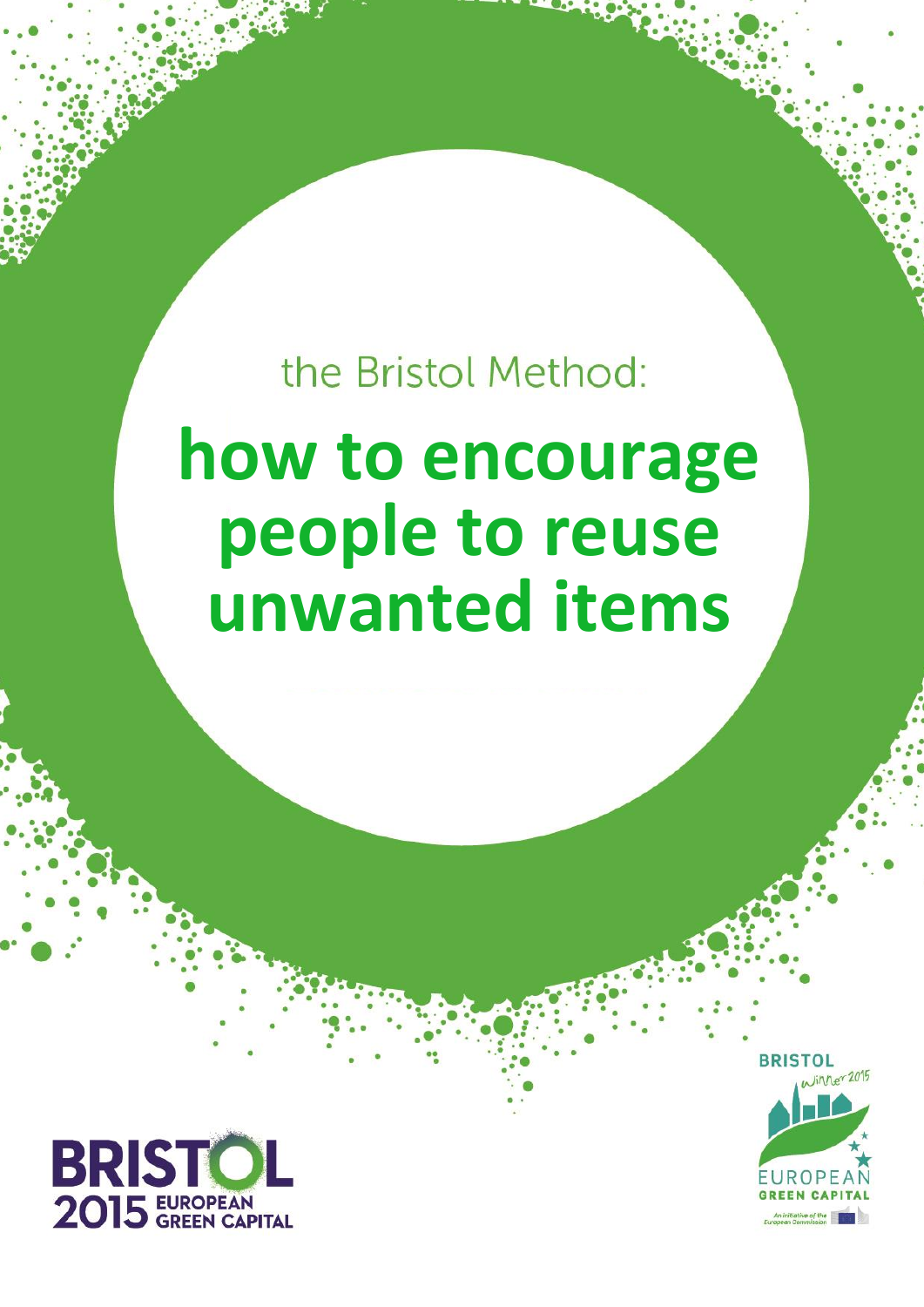the Bristol Method:

**How to encourage people to reuse unwanted items Published: 12 Oct 201515r 2015**

# **how to encourage people to reuse unwanted items**

UROP

**Version 1 1**

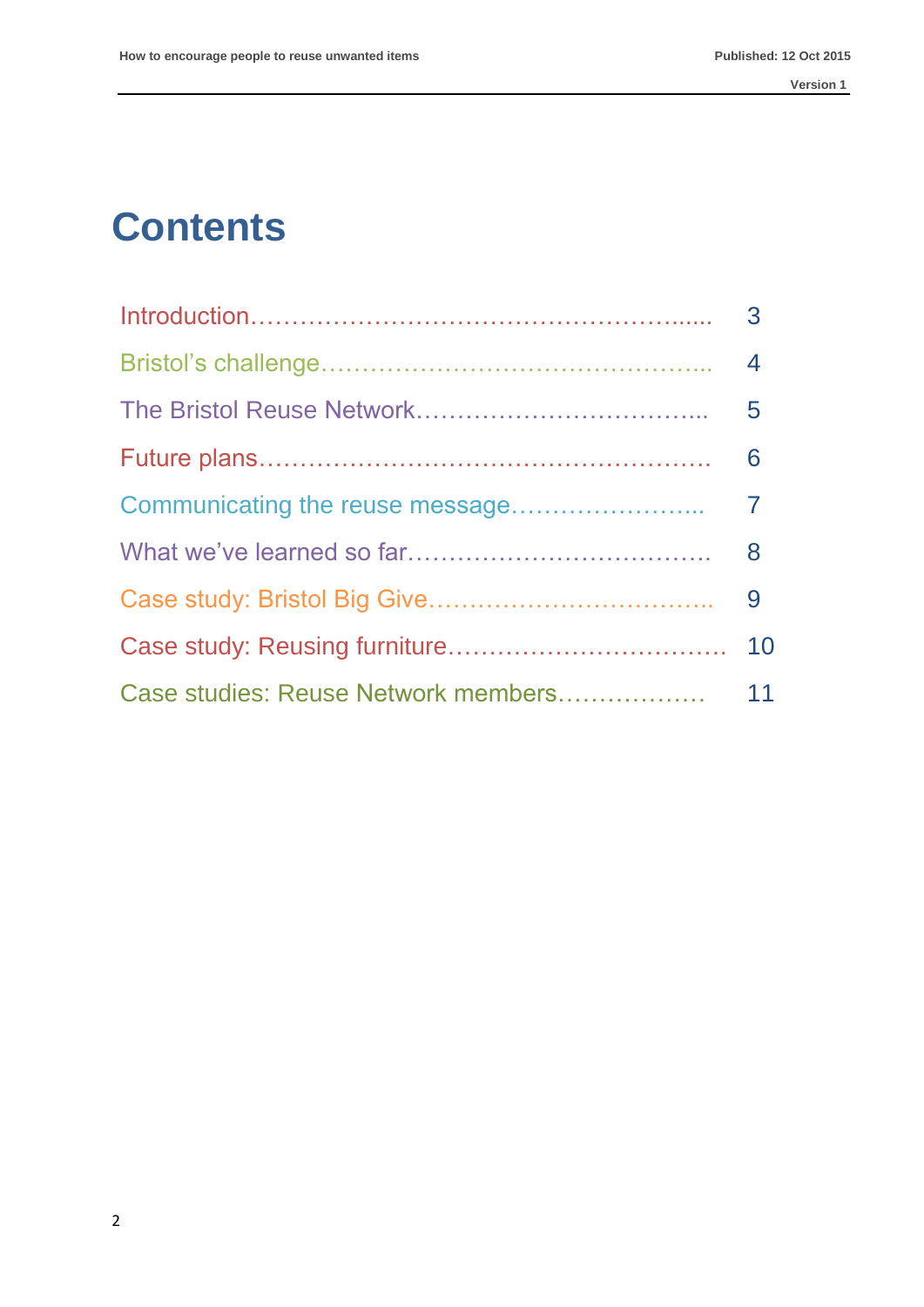# **Contents**

| $\overline{3}$ |
|----------------|
|                |
|                |
| 6              |
|                |
|                |
|                |
|                |
|                |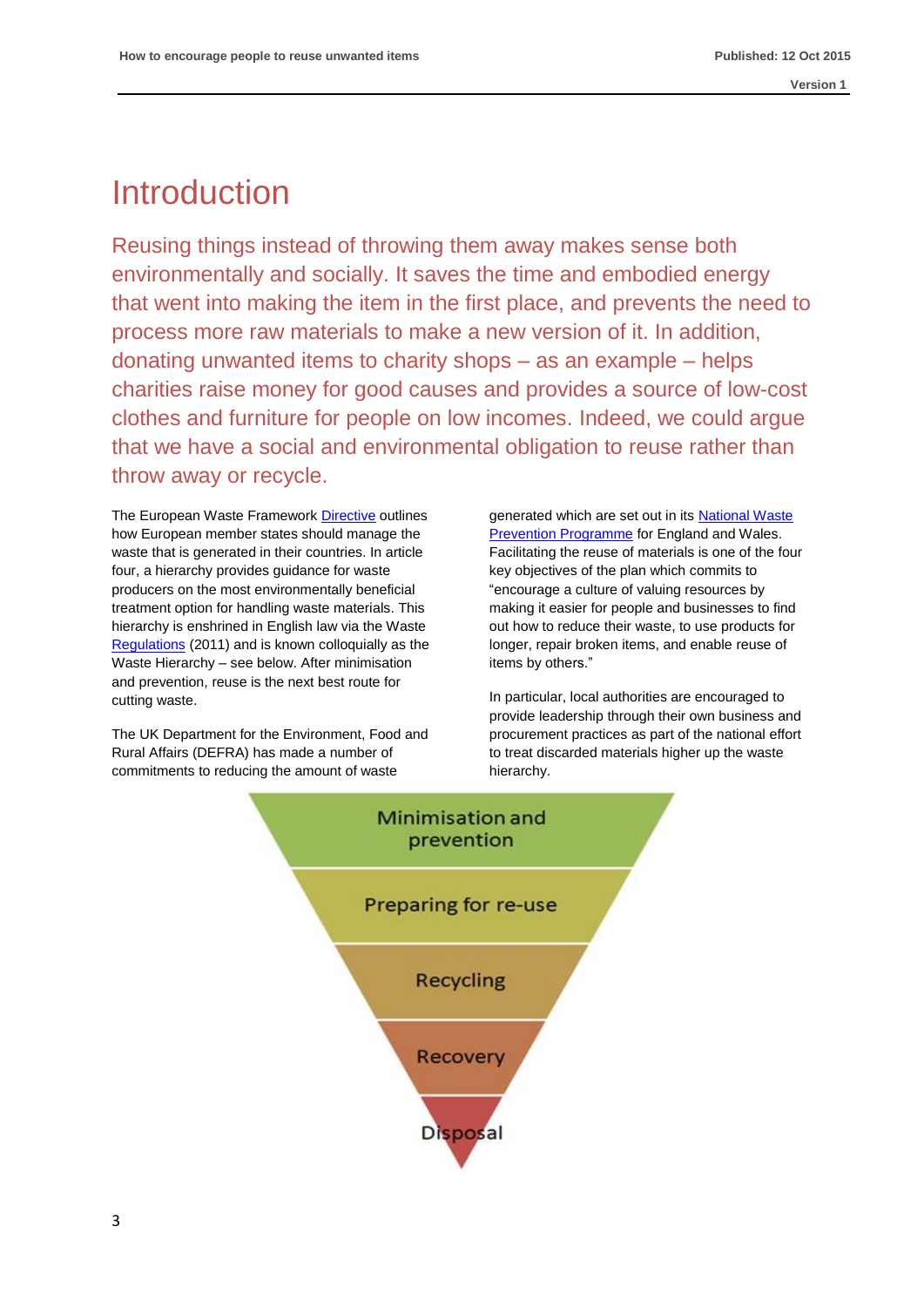# Introduction

Reusing things instead of throwing them away makes sense both environmentally and socially. It saves the time and embodied energy that went into making the item in the first place, and prevents the need to process more raw materials to make a new version of it. In addition, donating unwanted items to charity shops – as an example – helps charities raise money for good causes and provides a source of low-cost clothes and furniture for people on low incomes. Indeed, we could argue that we have a social and environmental obligation to reuse rather than throw away or recycle.

The European Waste Framework [Directive](http://eur-lex.europa.eu/legal-content/EN/TXT/PDF/?uri=CELEX:32008L0098&from=EN) outlines how European member states should manage the waste that is generated in their countries. In article four, a hierarchy provides guidance for waste producers on the most environmentally beneficial treatment option for handling waste materials. This hierarchy is enshrined in English law via the Waste [Regulations](http://www.legislation.gov.uk/uksi/2011/988/contents/made) (2011) and is known colloquially as the Waste Hierarchy – see below. After minimisation and prevention, reuse is the next best route for cutting waste.

The UK Department for the Environment, Food and Rural Affairs (DEFRA) has made a number of commitments to reducing the amount of waste

generated which are set out in its [National Waste](https://www.gov.uk/government/uploads/system/uploads/attachment_data/file/265022/pb14091-waste-prevention-20131211.pdf)  **[Prevention Programme](https://www.gov.uk/government/uploads/system/uploads/attachment_data/file/265022/pb14091-waste-prevention-20131211.pdf)** for England and Wales. Facilitating the reuse of materials is one of the four key objectives of the plan which commits to "encourage a culture of valuing resources by making it easier for people and businesses to find out how to reduce their waste, to use products for longer, repair broken items, and enable reuse of items by others."

In particular, local authorities are encouraged to provide leadership through their own business and procurement practices as part of the national effort to treat discarded materials higher up the waste hierarchy.

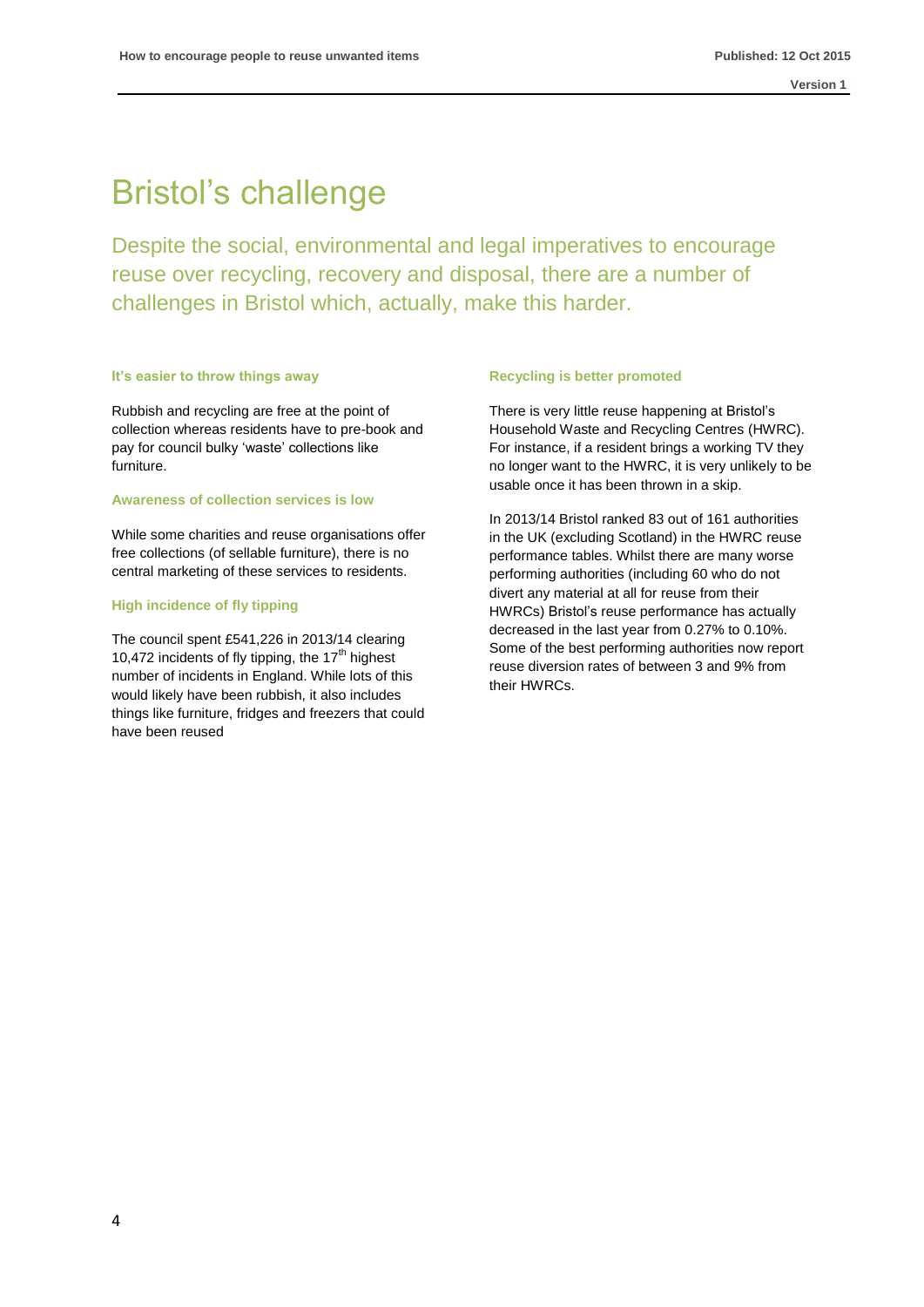### Bristol's challenge

Despite the social, environmental and legal imperatives to encourage reuse over recycling, recovery and disposal, there are a number of challenges in Bristol which, actually, make this harder.

### **It's easier to throw things away**

Rubbish and recycling are free at the point of collection whereas residents have to pre-book and pay for council bulky 'waste' collections like furniture.

### **Awareness of collection services is low**

While some charities and reuse organisations offer free collections (of sellable furniture), there is no central marketing of these services to residents.

### **High incidence of fly tipping**

The council spent £541,226 in 2013/14 clearing 10,472 incidents of fly tipping, the  $17<sup>th</sup>$  highest number of incidents in England. While lots of this would likely have been rubbish, it also includes things like furniture, fridges and freezers that could have been reused

#### **Recycling is better promoted**

There is very little reuse happening at Bristol's Household Waste and Recycling Centres (HWRC). For instance, if a resident brings a working TV they no longer want to the HWRC, it is very unlikely to be usable once it has been thrown in a skip.

In 2013/14 Bristol ranked 83 out of 161 authorities in the UK (excluding Scotland) in the HWRC reuse performance tables. Whilst there are many worse performing authorities (including 60 who do not divert any material at all for reuse from their HWRCs) Bristol's reuse performance has actually decreased in the last year from 0.27% to 0.10%. Some of the best performing authorities now report reuse diversion rates of between 3 and 9% from their HWRCs.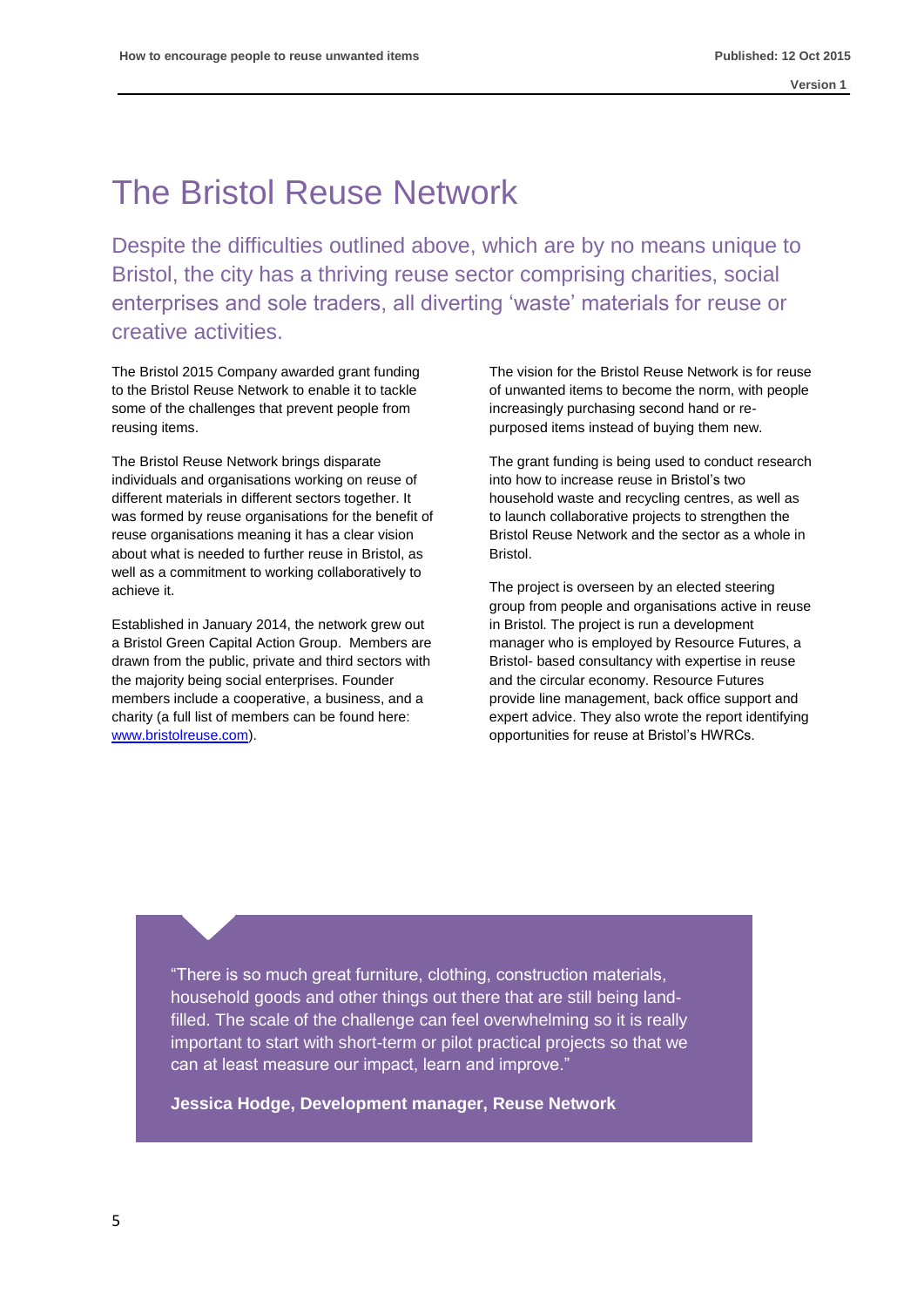### The Bristol Reuse Network

Despite the difficulties outlined above, which are by no means unique to Bristol, the city has a thriving reuse sector comprising charities, social enterprises and sole traders, all diverting 'waste' materials for reuse or creative activities.

The Bristol 2015 Company awarded grant funding to the Bristol Reuse Network to enable it to tackle some of the challenges that prevent people from reusing items.

The Bristol Reuse Network brings disparate individuals and organisations working on reuse of different materials in different sectors together. It was formed by reuse organisations for the benefit of reuse organisations meaning it has a clear vision about what is needed to further reuse in Bristol, as well as a commitment to working collaboratively to achieve it.

Established in January 2014, the network grew out a Bristol Green Capital Action Group. Members are drawn from the public, private and third sectors with the majority being social enterprises. Founder members include a cooperative, a business, and a charity (a full list of members can be found here: [www.bristolreuse.com\)](http://www.bristolreuse.com/).

The vision for the Bristol Reuse Network is for reuse of unwanted items to become the norm, with people increasingly purchasing second hand or repurposed items instead of buying them new.

The grant funding is being used to conduct research into how to increase reuse in Bristol's two household waste and recycling centres, as well as to launch collaborative projects to strengthen the Bristol Reuse Network and the sector as a whole in Bristol.

The project is overseen by an elected steering group from people and organisations active in reuse in Bristol. The project is run a development manager who is employed by Resource Futures, a Bristol- based consultancy with expertise in reuse and the circular economy. Resource Futures provide line management, back office support and expert advice. They also wrote the report identifying opportunities for reuse at Bristol's HWRCs.

"There is so much great furniture, clothing, construction materials, household goods and other things out there that are still being landfilled. The scale of the challenge can feel overwhelming so it is really important to start with short-term or pilot practical projects so that we can at least measure our impact, learn and improve."

**Jessica Hodge, Development manager, Reuse Network**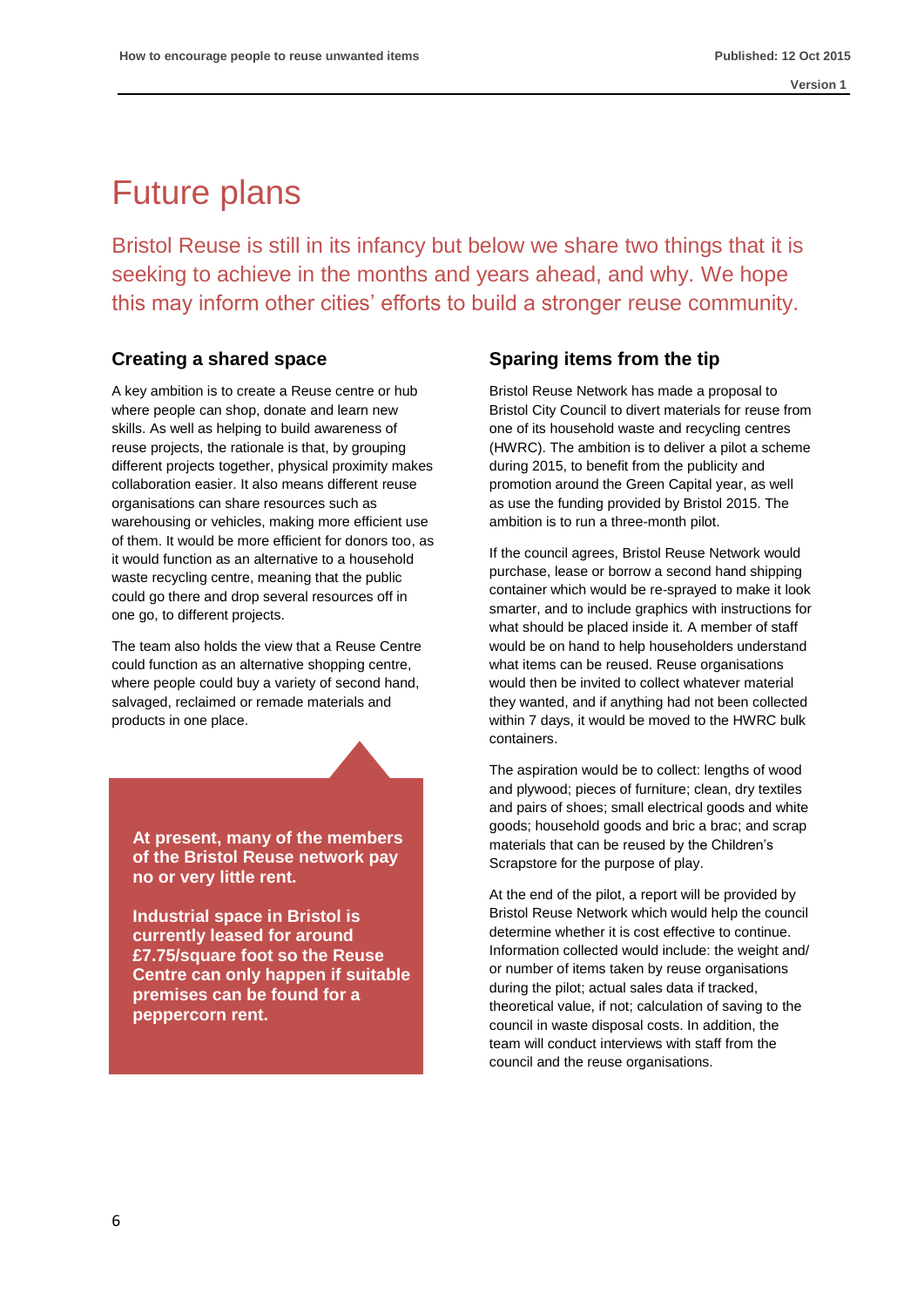# Future plans

Bristol Reuse is still in its infancy but below we share two things that it is seeking to achieve in the months and years ahead, and why. We hope this may inform other cities' efforts to build a stronger reuse community.

### **Creating a shared space**

A key ambition is to create a Reuse centre or hub where people can shop, donate and learn new skills. As well as helping to build awareness of reuse projects, the rationale is that, by grouping different projects together, physical proximity makes collaboration easier. It also means different reuse organisations can share resources such as warehousing or vehicles, making more efficient use of them. It would be more efficient for donors too, as it would function as an alternative to a household waste recycling centre, meaning that the public could go there and drop several resources off in one go, to different projects.

The team also holds the view that a Reuse Centre could function as an alternative shopping centre, where people could buy a variety of second hand, salvaged, reclaimed or remade materials and products in one place.

**At present, many of the members of the Bristol Reuse network pay no or very little rent.** 

**Industrial space in Bristol is currently leased for around £7.75/square foot so the Reuse Centre can only happen if suitable premises can be found for a peppercorn rent.**

### **Sparing items from the tip**

Bristol Reuse Network has made a proposal to Bristol City Council to divert materials for reuse from one of its household waste and recycling centres (HWRC). The ambition is to deliver a pilot a scheme during 2015, to benefit from the publicity and promotion around the Green Capital year, as well as use the funding provided by Bristol 2015. The ambition is to run a three-month pilot.

If the council agrees, Bristol Reuse Network would purchase, lease or borrow a second hand shipping container which would be re-sprayed to make it look smarter, and to include graphics with instructions for what should be placed inside it. A member of staff would be on hand to help householders understand what items can be reused. Reuse organisations would then be invited to collect whatever material they wanted, and if anything had not been collected within 7 days, it would be moved to the HWRC bulk containers.

The aspiration would be to collect: lengths of wood and plywood; pieces of furniture; clean, dry textiles and pairs of shoes; small electrical goods and white goods; household goods and bric a brac; and scrap materials that can be reused by the Children's Scrapstore for the purpose of play.

At the end of the pilot, a report will be provided by Bristol Reuse Network which would help the council determine whether it is cost effective to continue. Information collected would include: the weight and/ or number of items taken by reuse organisations during the pilot; actual sales data if tracked, theoretical value, if not; calculation of saving to the council in waste disposal costs. In addition, the team will conduct interviews with staff from the council and the reuse organisations.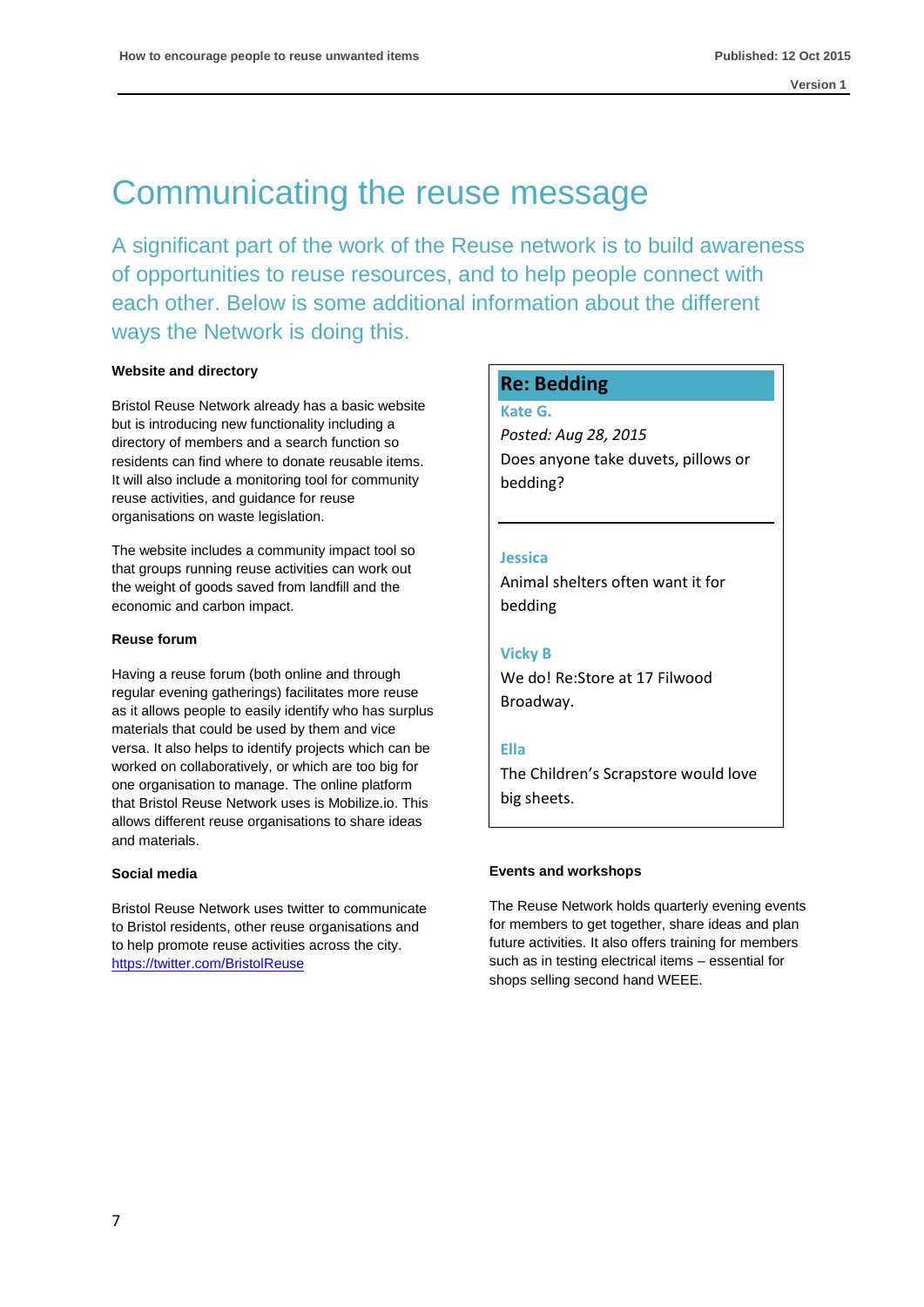### Communicating the reuse message

A significant part of the work of the Reuse network is to build awareness of opportunities to reuse resources, and to help people connect with each other. Below is some additional information about the different ways the Network is doing this.

### **Website and directory**

Bristol Reuse Network already has a basic website but is introducing new functionality including a directory of members and a search function so residents can find where to donate reusable items. It will also include a monitoring tool for community reuse activities, and guidance for reuse organisations on waste legislation.

The website includes a community impact tool so that groups running reuse activities can work out the weight of goods saved from landfill and the economic and carbon impact.

### **Reuse forum**

Having a reuse forum (both online and through regular evening gatherings) facilitates more reuse as it allows people to easily identify who has surplus materials that could be used by them and vice versa. It also helps to identify projects which can be worked on collaboratively, or which are too big for one organisation to manage. The online platform that Bristol Reuse Network uses is Mobilize.io. This allows different reuse organisations to share ideas and materials.

### **Social media**

Bristol Reuse Network uses twitter to communicate to Bristol residents, other reuse organisations and to help promote reuse activities across the city. [https://twitter.com/BristolReuse](https://twitter.com/BristolReUse)

### **Re: Bedding**

**Kate G.**

*Posted: Aug 28, 2015* Does anyone take duvets, pillows or bedding?

### **Jessica**

Animal shelters often want it for bedding

### **Vicky B**

We do! Re:Store at 17 Filwood Broadway.

### **Ella**

The Children's Scrapstore would love big sheets.

### **Events and workshops**

The Reuse Network holds quarterly evening events for members to get together, share ideas and plan future activities. It also offers training for members such as in testing electrical items – essential for shops selling second hand WEEE.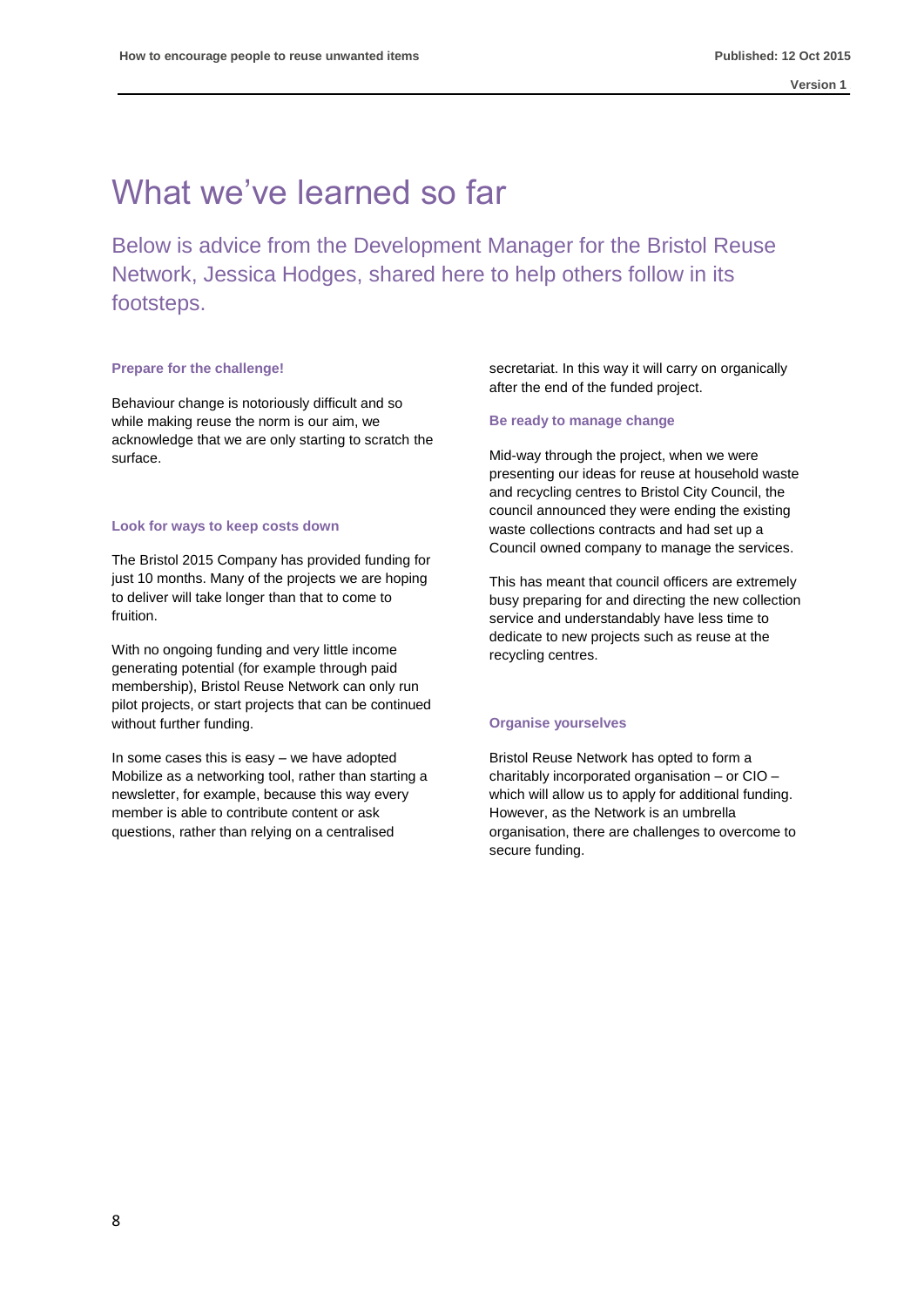### What we've learned so far

Below is advice from the Development Manager for the Bristol Reuse Network, Jessica Hodges, shared here to help others follow in its footsteps.

### **Prepare for the challenge!**

Behaviour change is notoriously difficult and so while making reuse the norm is our aim, we acknowledge that we are only starting to scratch the surface.

#### **Look for ways to keep costs down**

The Bristol 2015 Company has provided funding for just 10 months. Many of the projects we are hoping to deliver will take longer than that to come to fruition.

With no ongoing funding and very little income generating potential (for example through paid membership), Bristol Reuse Network can only run pilot projects, or start projects that can be continued without further funding.

In some cases this is easy – we have adopted Mobilize as a networking tool, rather than starting a newsletter, for example, because this way every member is able to contribute content or ask questions, rather than relying on a centralised

secretariat. In this way it will carry on organically after the end of the funded project.

#### **Be ready to manage change**

Mid-way through the project, when we were presenting our ideas for reuse at household waste and recycling centres to Bristol City Council, the council announced they were ending the existing waste collections contracts and had set up a Council owned company to manage the services.

This has meant that council officers are extremely busy preparing for and directing the new collection service and understandably have less time to dedicate to new projects such as reuse at the recycling centres.

### **Organise yourselves**

Bristol Reuse Network has opted to form a charitably incorporated organisation – or CIO – which will allow us to apply for additional funding. However, as the Network is an umbrella organisation, there are challenges to overcome to secure funding.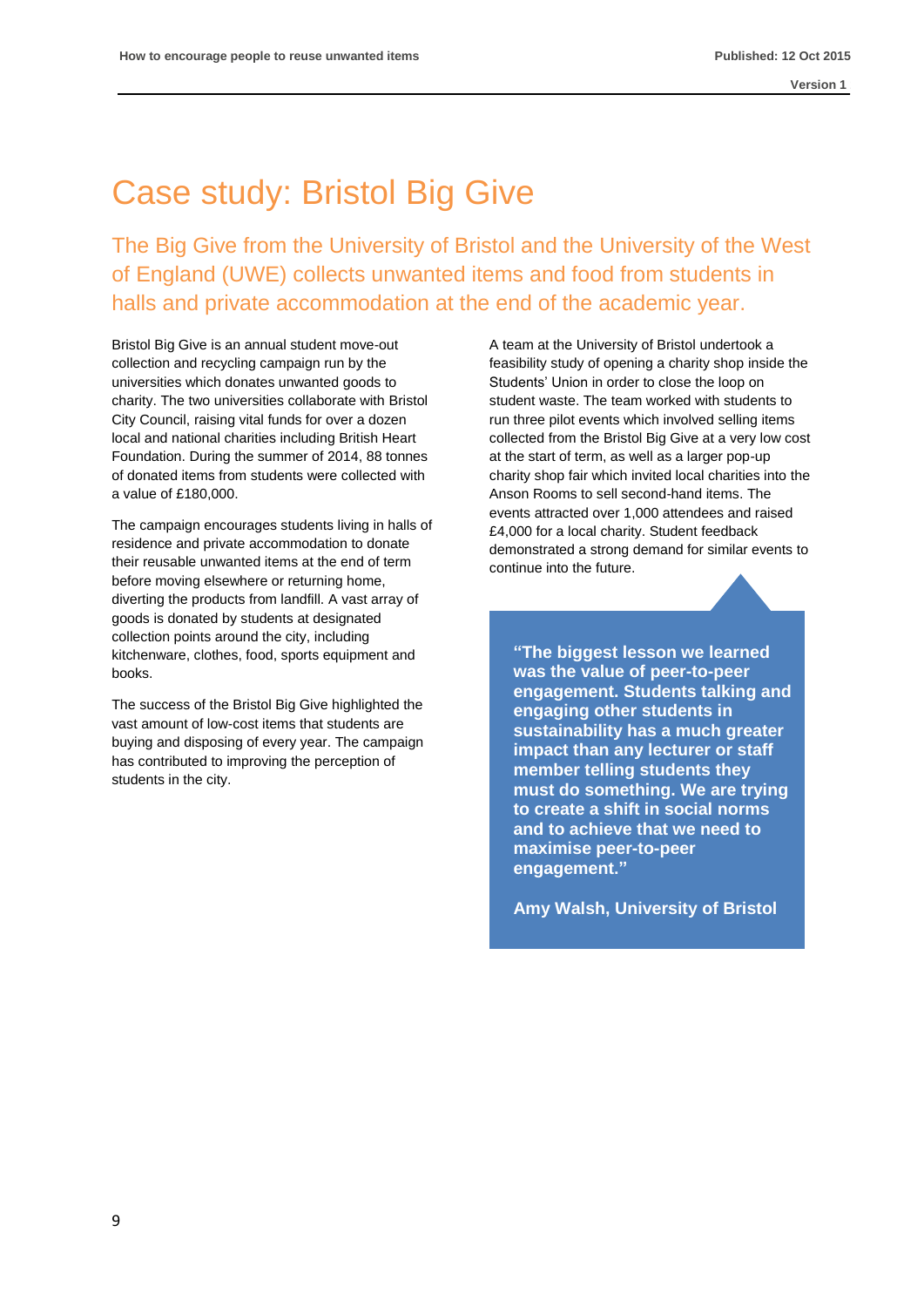# Case study: Bristol Big Give

The Big Give from the University of Bristol and the University of the West of England (UWE) collects unwanted items and food from students in halls and private accommodation at the end of the academic year.

Bristol Big Give is an annual student move-out collection and recycling campaign run by the universities which donates unwanted goods to charity. The two universities collaborate with Bristol City Council, raising vital funds for over a dozen local and national charities including British Heart Foundation. During the summer of 2014, 88 tonnes of donated items from students were collected with a value of £180,000.

The campaign encourages students living in halls of residence and private accommodation to donate their reusable unwanted items at the end of term before moving elsewhere or returning home, diverting the products from landfill. A vast array of goods is donated by students at designated collection points around the city, including kitchenware, clothes, food, sports equipment and books.

The success of the Bristol Big Give highlighted the vast amount of low-cost items that students are buying and disposing of every year. The campaign has contributed to improving the perception of students in the city.

A team at the University of Bristol undertook a feasibility study of opening a charity shop inside the Students' Union in order to close the loop on student waste. The team worked with students to run three pilot events which involved selling items collected from the Bristol Big Give at a very low cost at the start of term, as well as a larger pop-up charity shop fair which invited local charities into the Anson Rooms to sell second-hand items. The events attracted over 1,000 attendees and raised £4,000 for a local charity. Student feedback demonstrated a strong demand for similar events to continue into the future.

**"The biggest lesson we learned was the value of peer-to-peer engagement. Students talking and engaging other students in sustainability has a much greater impact than any lecturer or staff member telling students they must do something. We are trying to create a shift in social norms and to achieve that we need to maximise peer-to-peer engagement."**

**Amy Walsh, University of Bristol**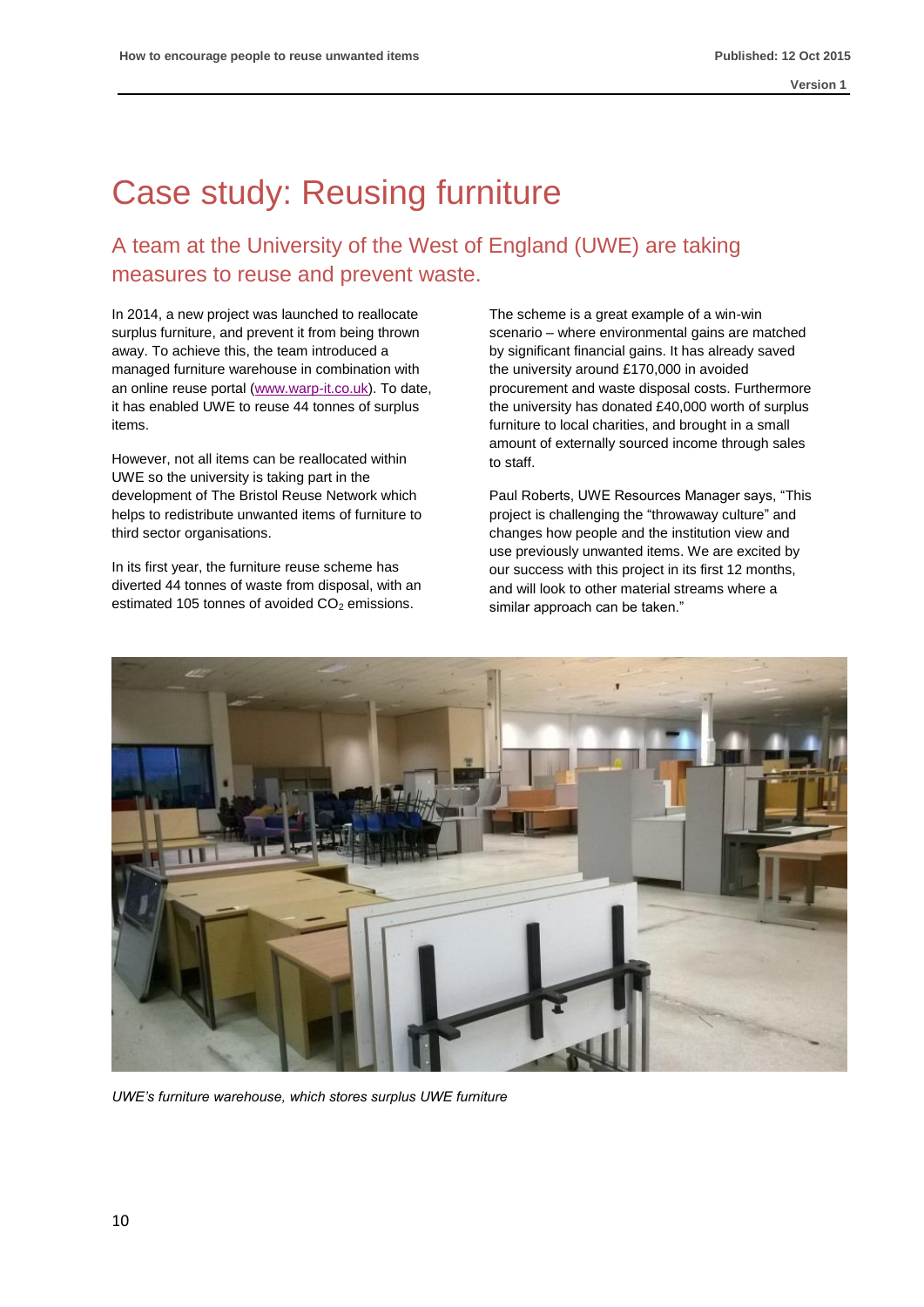# Case study: Reusing furniture

### A team at the University of the West of England (UWE) are taking measures to reuse and prevent waste.

In 2014, a new project was launched to reallocate surplus furniture, and prevent it from being thrown away. To achieve this, the team introduced a managed furniture warehouse in combination with an online reuse portal [\(www.warp-it.co.uk\)](http://www.warp-it.co.uk/). To date, it has enabled UWE to reuse 44 tonnes of surplus items.

However, not all items can be reallocated within UWE so the university is taking part in the development of The Bristol Reuse Network which helps to redistribute unwanted items of furniture to third sector organisations.

In its first year, the furniture reuse scheme has diverted 44 tonnes of waste from disposal, with an estimated 105 tonnes of avoided  $CO<sub>2</sub>$  emissions.

The scheme is a great example of a win-win scenario – where environmental gains are matched by significant financial gains. It has already saved the university around £170,000 in avoided procurement and waste disposal costs. Furthermore the university has donated £40,000 worth of surplus furniture to local charities, and brought in a small amount of externally sourced income through sales to staff.

Paul Roberts, UWE Resources Manager says, "This project is challenging the "throwaway culture" and changes how people and the institution view and use previously unwanted items. We are excited by our success with this project in its first 12 months, and will look to other material streams where a similar approach can be taken."



*UWE's furniture warehouse, which stores surplus UWE furniture*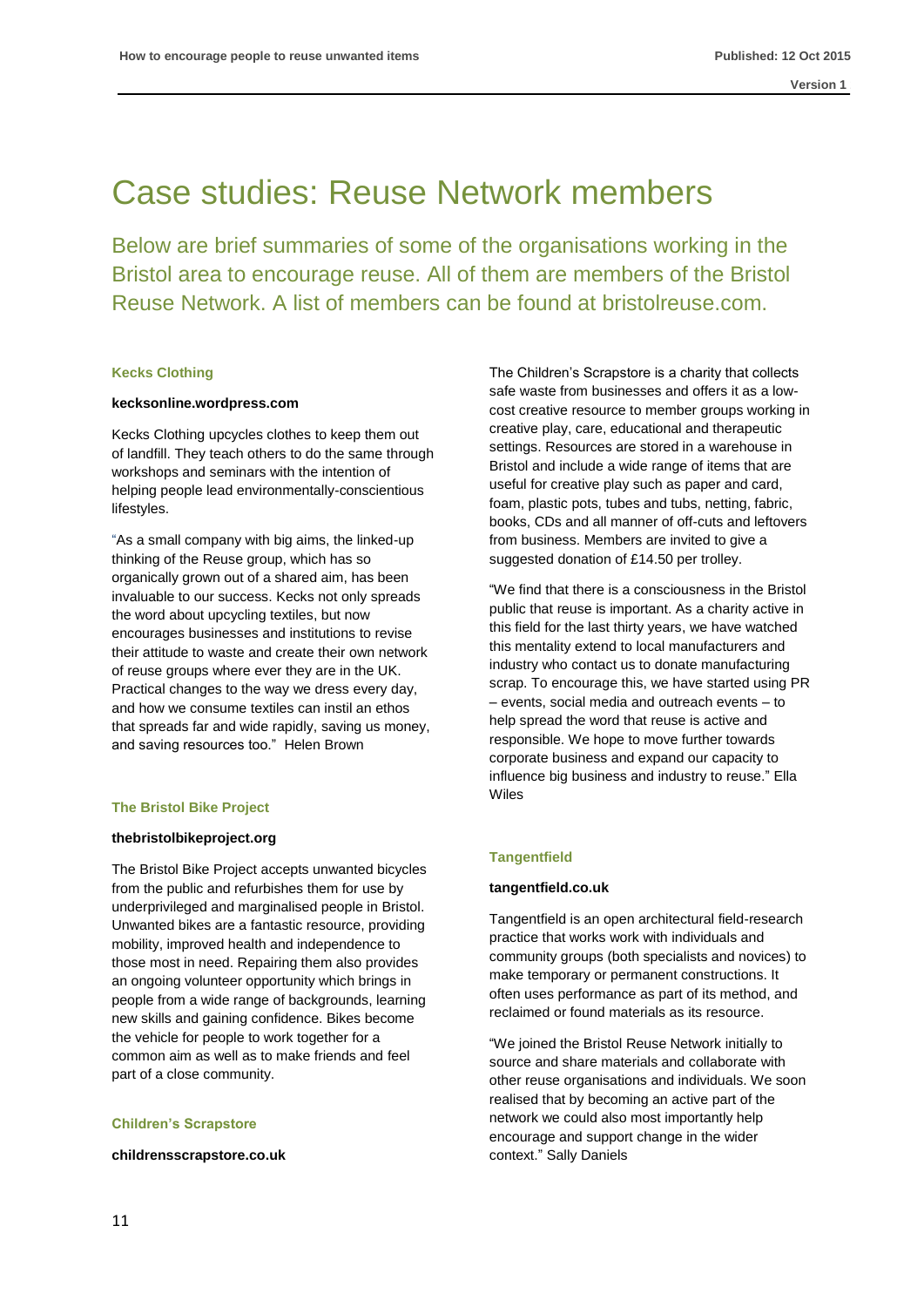### Case studies: Reuse Network members

Below are brief summaries of some of the organisations working in the Bristol area to encourage reuse. All of them are members of the Bristol Reuse Network. A list of members can be found at bristolreuse.com.

### **Kecks Clothing**

### **kecksonline.wordpress.com**

Kecks Clothing upcycles clothes to keep them out of landfill. They teach others to do the same through workshops and seminars with the intention of helping people lead environmentally-conscientious lifestyles.

"As a small company with big aims, the linked-up thinking of the Reuse group, which has so organically grown out of a shared aim, has been invaluable to our success. Kecks not only spreads the word about upcycling textiles, but now encourages businesses and institutions to revise their attitude to waste and create their own network of reuse groups where ever they are in the UK. Practical changes to the way we dress every day, and how we consume textiles can instil an ethos that spreads far and wide rapidly, saving us money, and saving resources too." Helen Brown

### **The Bristol Bike Project**

#### **thebristolbikeproject.org**

The Bristol Bike Project accepts unwanted bicycles from the public and refurbishes them for use by underprivileged and marginalised people in Bristol. Unwanted bikes are a fantastic resource, providing mobility, improved health and independence to those most in need. Repairing them also provides an ongoing volunteer opportunity which brings in people from a wide range of backgrounds, learning new skills and gaining confidence. Bikes become the vehicle for people to work together for a common aim as well as to make friends and feel part of a close community.

### **Children's Scrapstore**

**[childrensscrapstore.co.uk](http://www.childrensscrapstore.co.uk/)**

The Children's Scrapstore is a charity that collects safe waste from businesses and offers it as a lowcost creative resource to member groups working in creative play, care, educational and therapeutic settings. Resources are stored in a warehouse in Bristol and include a wide range of items that are useful for creative play such as paper and card, foam, plastic pots, tubes and tubs, netting, fabric, books, CDs and all manner of off-cuts and leftovers from business. Members are invited to give a suggested donation of £14.50 per trolley.

"We find that there is a consciousness in the Bristol public that reuse is important. As a charity active in this field for the last thirty years, we have watched this mentality extend to local manufacturers and industry who contact us to donate manufacturing scrap. To encourage this, we have started using PR – events, social media and outreach events – to help spread the word that reuse is active and responsible. We hope to move further towards corporate business and expand our capacity to influence big business and industry to reuse." Ella Wiles

### **Tangentfield**

#### **[tangentfield.co.uk](http://www.tangentfield.co.uk/)**

Tangentfield is an open architectural field-research practice that works work with individuals and community groups (both specialists and novices) to make temporary or permanent constructions. It often uses performance as part of its method, and reclaimed or found materials as its resource.

"We joined the Bristol Reuse Network initially to source and share materials and collaborate with other reuse organisations and individuals. We soon realised that by becoming an active part of the network we could also most importantly help encourage and support change in the wider context." Sally Daniels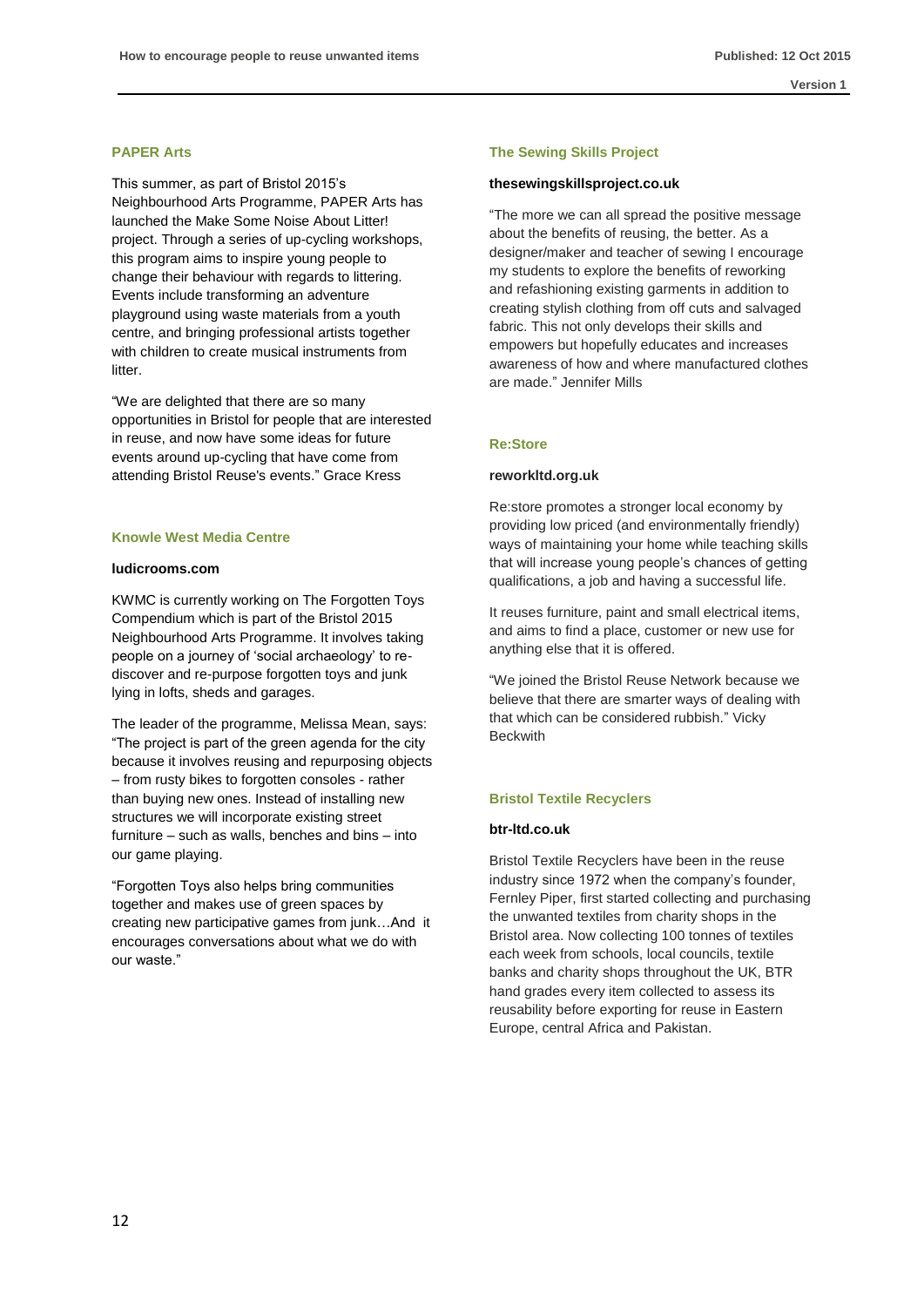### **PAPER Arts**

This summer, as part of Bristol 2015's Neighbourhood Arts Programme, PAPER Arts has launched the Make Some Noise About Litter! project. Through a series of up-cycling workshops, this program aims to inspire young people to change their behaviour with regards to littering. Events include transforming an adventure playground using waste materials from a youth centre, and bringing professional artists together with children to create musical instruments from litter.

"We are delighted that there are so many opportunities in Bristol for people that are interested in reuse, and now have some ideas for future events around up-cycling that have come from attending Bristol Reuse's events." Grace Kress

### **Knowle West Media Centre**

### **ludicrooms.com**

KWMC is currently working on The Forgotten Toys Compendium which is part of the Bristol 2015 Neighbourhood Arts Programme. It involves taking people on a journey of 'social archaeology' to rediscover and re-purpose forgotten toys and junk lying in lofts, sheds and garages.

The leader of the programme, Melissa Mean, says: "The project is part of the green agenda for the city because it involves reusing and repurposing objects – from rusty bikes to forgotten consoles - rather than buying new ones. Instead of installing new structures we will incorporate existing street furniture – such as walls, benches and bins – into our game playing.

"Forgotten Toys also helps bring communities together and makes use of green spaces by creating new participative games from junk…And it encourages conversations about what we do with our waste."

#### **The Sewing Skills Project**

#### **thesewingskillsproject.co.uk**

"The more we can all spread the positive message about the benefits of reusing, the better. As a designer/maker and teacher of sewing I encourage my students to explore the benefits of reworking and refashioning existing garments in addition to creating stylish clothing from off cuts and salvaged fabric. This not only develops their skills and empowers but hopefully educates and increases awareness of how and where manufactured clothes are made." Jennifer Mills

### **Re:Store**

#### **reworkltd.org.uk**

Re:store promotes a stronger local economy by providing low priced (and environmentally friendly) ways of maintaining your home while teaching skills that will increase young people's chances of getting qualifications, a job and having a successful life.

It reuses furniture, paint and small electrical items, and aims to find a place, customer or new use for anything else that it is offered.

"We joined the Bristol Reuse Network because we believe that there are smarter ways of dealing with that which can be considered rubbish." Vicky **Beckwith** 

### **Bristol Textile Recyclers**

### **[btr-ltd.co.uk](http://btr-ltd.co.uk/)**

Bristol Textile Recyclers have been in the reuse industry since 1972 when the company's founder, Fernley Piper, first started collecting and purchasing the unwanted textiles from charity shops in the Bristol area. Now collecting 100 tonnes of textiles each week from schools, local councils, textile banks and charity shops throughout the UK, BTR hand grades every item collected to assess its reusability before exporting for reuse in Eastern Europe, central Africa and Pakistan.